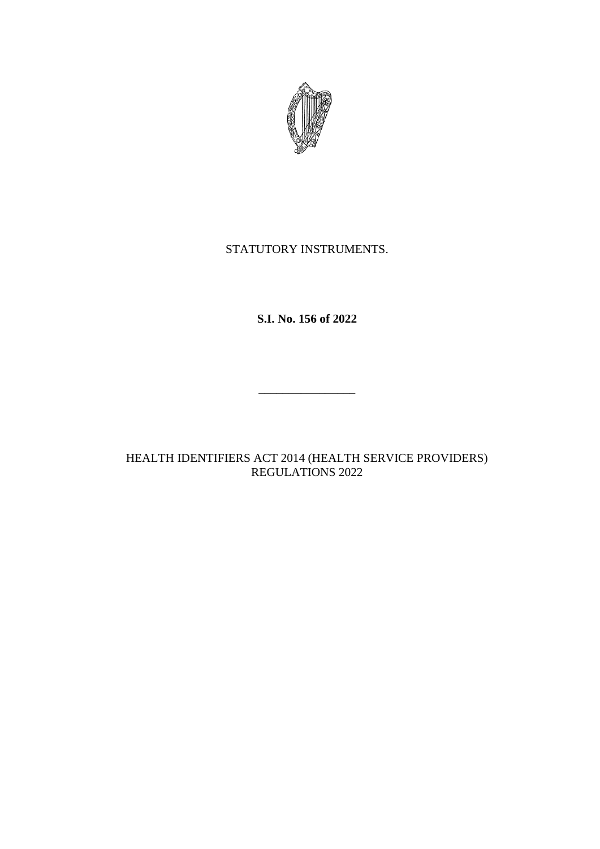

# STATUTORY INSTRUMENTS.

**S.I. No. 156 of 2022**

\_\_\_\_\_\_\_\_\_\_\_\_\_\_\_\_

HEALTH IDENTIFIERS ACT 2014 (HEALTH SERVICE PROVIDERS) REGULATIONS 2022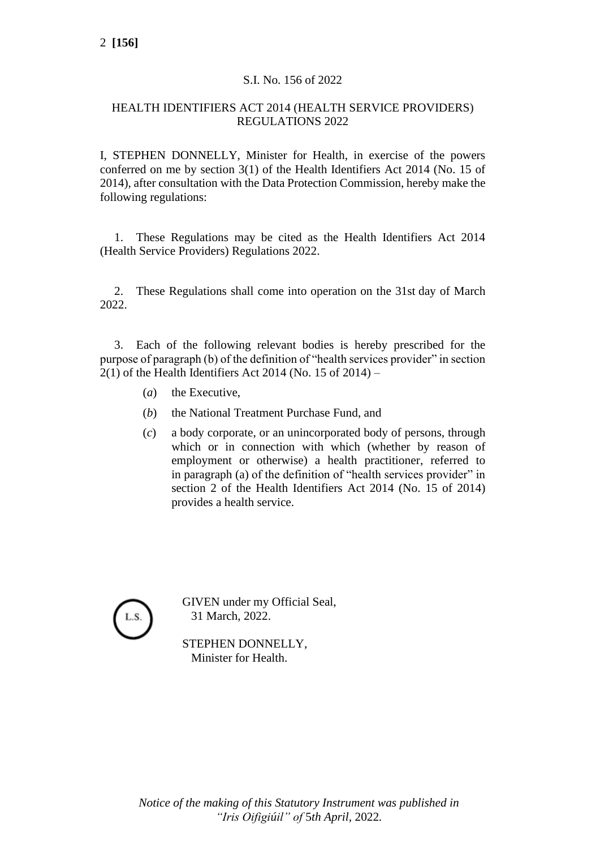### S.I. No. 156 of 2022

### HEALTH IDENTIFIERS ACT 2014 (HEALTH SERVICE PROVIDERS) REGULATIONS 2022

I, STEPHEN DONNELLY, Minister for Health, in exercise of the powers conferred on me by section 3(1) of the Health Identifiers Act 2014 (No. 15 of 2014), after consultation with the Data Protection Commission, hereby make the following regulations:

1. These Regulations may be cited as the Health Identifiers Act 2014 (Health Service Providers) Regulations 2022.

2. These Regulations shall come into operation on the 31st day of March 2022.

3. Each of the following relevant bodies is hereby prescribed for the purpose of paragraph (b) of the definition of "health services provider" in section  $2(1)$  of the Health Identifiers Act 2014 (No. 15 of 2014) –

- (*a*) the Executive,
- (*b*) the National Treatment Purchase Fund, and
- (*c*) a body corporate, or an unincorporated body of persons, through which or in connection with which (whether by reason of employment or otherwise) a health practitioner, referred to in paragraph (a) of the definition of "health services provider" in section 2 of the Health Identifiers Act 2014 (No. 15 of 2014) provides a health service.



GIVEN under my Official Seal, 31 March, 2022.

STEPHEN DONNELLY, Minister for Health.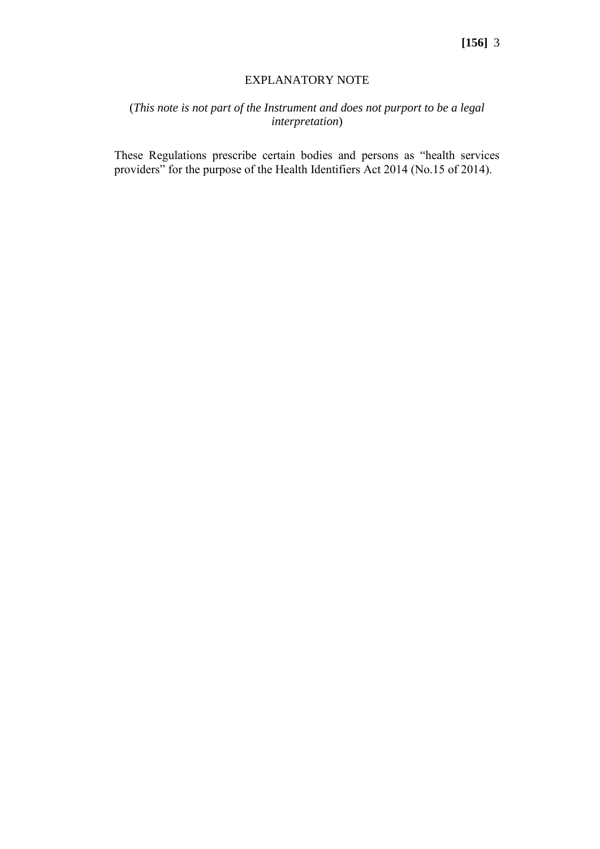#### EXPLANATORY NOTE

## (*This note is not part of the Instrument and does not purport to be a legal interpretation*)

These Regulations prescribe certain bodies and persons as "health services providers" for the purpose of the Health Identifiers Act 2014 (No.15 of 2014).